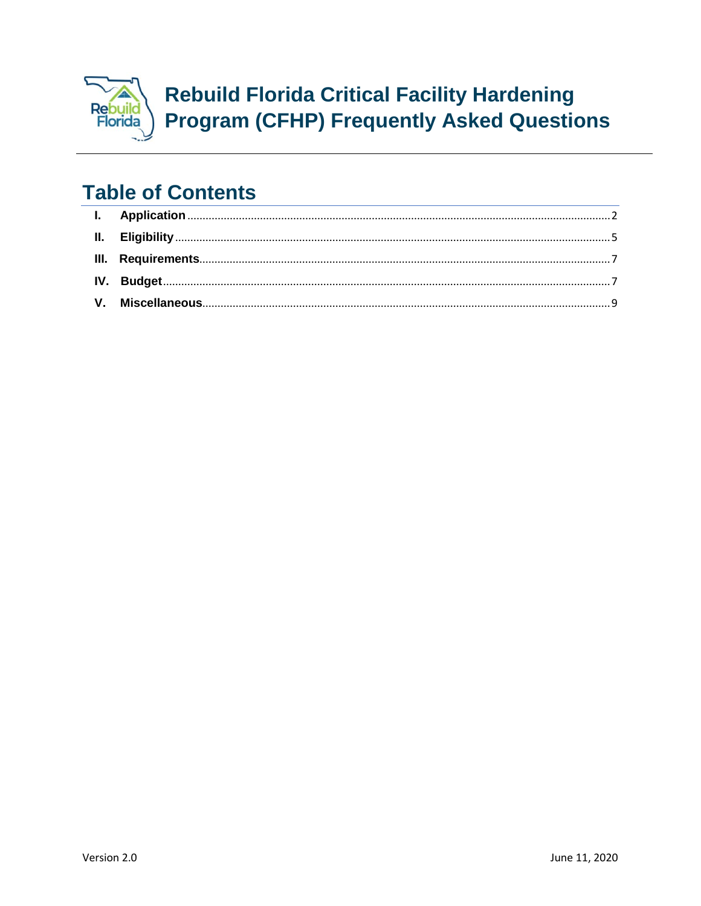

# **Table of Contents**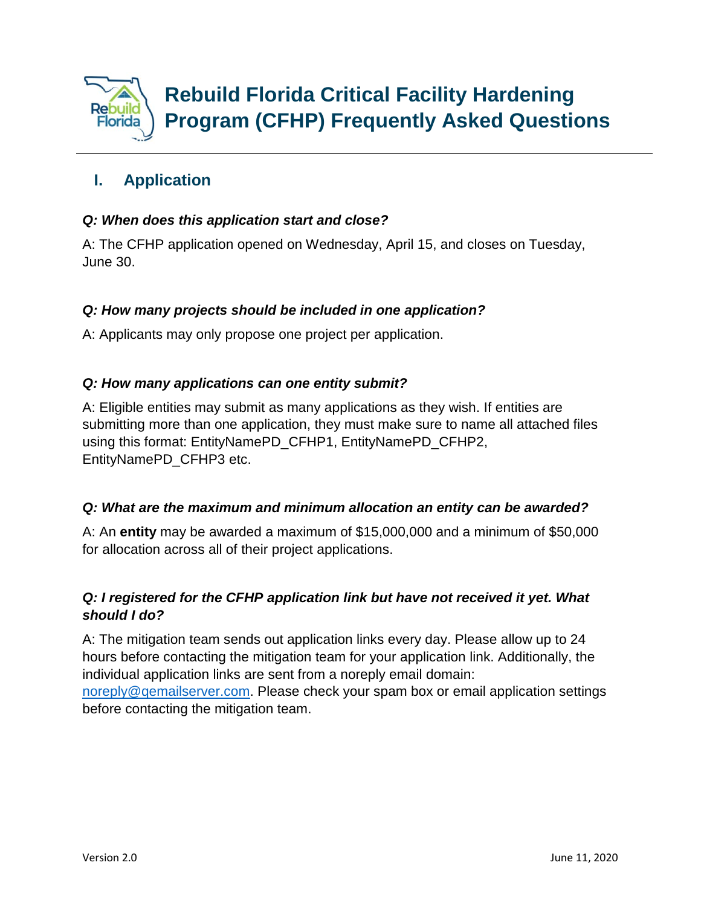

# <span id="page-1-0"></span>**I. Application**

# *Q: When does this application start and close?*

A: The CFHP application opened on Wednesday, April 15, and closes on Tuesday, June 30.

# *Q: How many projects should be included in one application?*

A: Applicants may only propose one project per application.

# *Q: How many applications can one entity submit?*

A: Eligible entities may submit as many applications as they wish. If entities are submitting more than one application, they must make sure to name all attached files using this format: EntityNamePD\_CFHP1, EntityNamePD\_CFHP2, EntityNamePD\_CFHP3 etc.

# *Q: What are the maximum and minimum allocation an entity can be awarded?*

A: An **entity** may be awarded a maximum of \$15,000,000 and a minimum of \$50,000 for allocation across all of their project applications.

# *Q: I registered for the CFHP application link but have not received it yet. What should I do?*

A: The mitigation team sends out application links every day. Please allow up to 24 hours before contacting the mitigation team for your application link. Additionally, the individual application links are sent from a noreply email domain:

[noreply@qemailserver.com.](mailto:noreply@qemailserver.com) Please check your spam box or email application settings before contacting the mitigation team.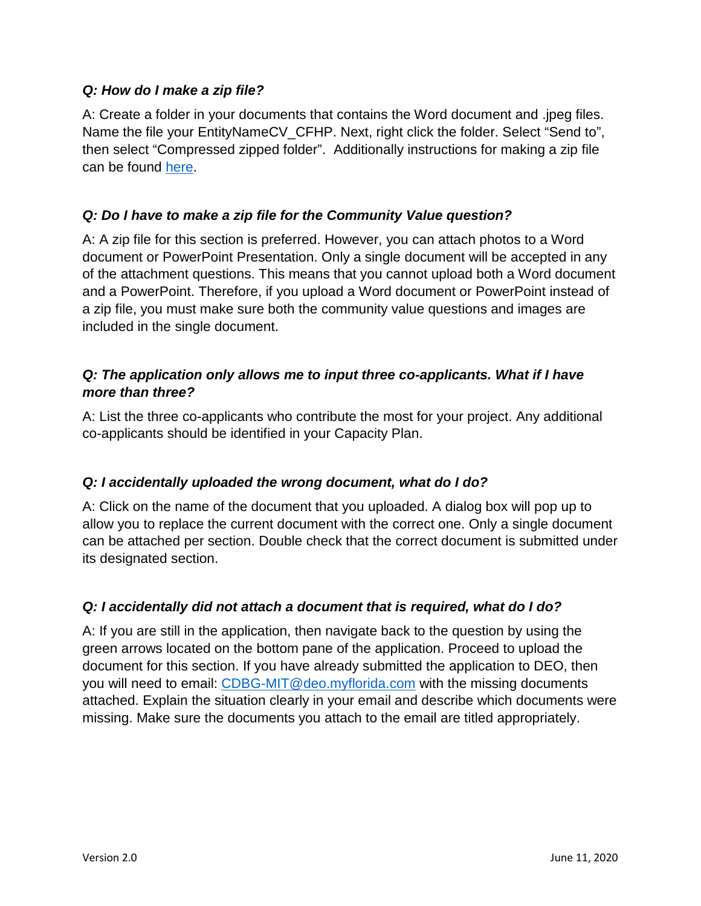#### *Q: How do I make a zip file?*

A: Create a folder in your documents that contains the Word document and .jpeg files. Name the file your EntityNameCV\_CFHP. Next, right click the folder. Select "Send to", then select "Compressed zipped folder". Additionally instructions for making a zip file can be found [here.](https://support.microsoft.com/en-us/help/14200/windows-compress-uncompress-zip-files)

# *Q: Do I have to make a zip file for the Community Value question?*

A: A zip file for this section is preferred. However, you can attach photos to a Word document or PowerPoint Presentation. Only a single document will be accepted in any of the attachment questions. This means that you cannot upload both a Word document and a PowerPoint. Therefore, if you upload a Word document or PowerPoint instead of a zip file, you must make sure both the community value questions and images are included in the single document.

# *Q: The application only allows me to input three co-applicants. What if I have more than three?*

A: List the three co-applicants who contribute the most for your project. Any additional co-applicants should be identified in your Capacity Plan.

# *Q: I accidentally uploaded the wrong document, what do I do?*

A: Click on the name of the document that you uploaded. A dialog box will pop up to allow you to replace the current document with the correct one. Only a single document can be attached per section. Double check that the correct document is submitted under its designated section.

# *Q: I accidentally did not attach a document that is required, what do I do?*

A: If you are still in the application, then navigate back to the question by using the green arrows located on the bottom pane of the application. Proceed to upload the document for this section. If you have already submitted the application to DEO, then you will need to email: [CDBG-MIT@deo.myflorida.com](mailto:CDBG-MIT@deo.myflorida.com) with the missing documents attached. Explain the situation clearly in your email and describe which documents were missing. Make sure the documents you attach to the email are titled appropriately.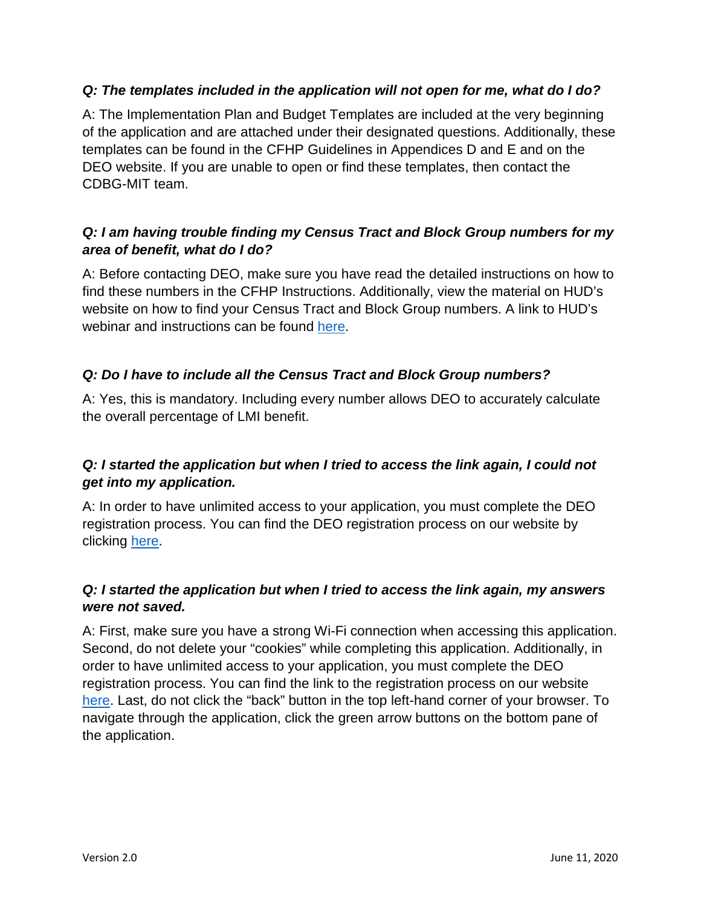#### *Q: The templates included in the application will not open for me, what do I do?*

A: The Implementation Plan and Budget Templates are included at the very beginning of the application and are attached under their designated questions. Additionally, these templates can be found in the CFHP Guidelines in Appendices D and E and on the DEO website. If you are unable to open or find these templates, then contact the CDBG-MIT team.

# *Q: I am having trouble finding my Census Tract and Block Group numbers for my area of benefit, what do I do?*

A: Before contacting DEO, make sure you have read the detailed instructions on how to find these numbers in the CFHP Instructions. Additionally, view the material on HUD's website on how to find your Census Tract and Block Group numbers. A link to HUD's webinar and instructions can be found [here.](https://hud.maps.arcgis.com/home/item.html?id=ffd0597e8af24f88b501b7e7f326bedd#overview)

# *Q: Do I have to include all the Census Tract and Block Group numbers?*

A: Yes, this is mandatory. Including every number allows DEO to accurately calculate the overall percentage of LMI benefit.

# *Q: I started the application but when I tried to access the link again, I could not get into my application.*

A: In order to have unlimited access to your application, you must complete the DEO registration process. You can find the DEO registration process on our website by clicking [here.](http://floridajobs.org/rebuildflorida/mitigation/critical-facility-hardening-program)

# *Q: I started the application but when I tried to access the link again, my answers were not saved.*

A: First, make sure you have a strong Wi-Fi connection when accessing this application. Second, do not delete your "cookies" while completing this application. Additionally, in order to have unlimited access to your application, you must complete the DEO registration process. You can find the link to the registration process on our website [here.](http://floridajobs.org/rebuildflorida/mitigation/critical-facility-hardening-program) Last, do not click the "back" button in the top left-hand corner of your browser. To navigate through the application, click the green arrow buttons on the bottom pane of the application.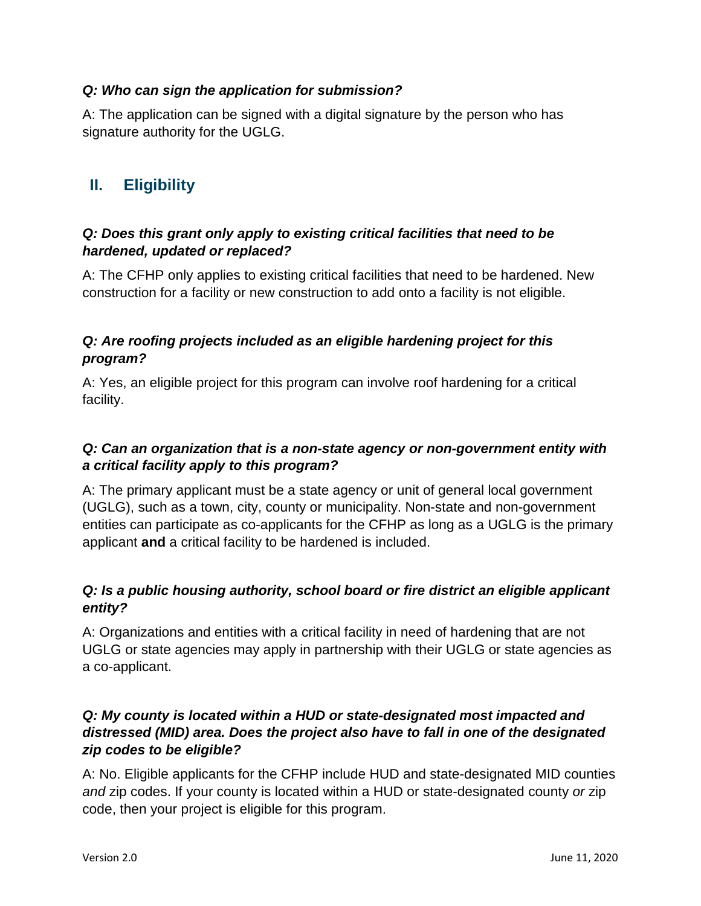#### *Q: Who can sign the application for submission?*

A: The application can be signed with a digital signature by the person who has signature authority for the UGLG.

# <span id="page-4-0"></span>**II. Eligibility**

# *Q: Does this grant only apply to existing critical facilities that need to be hardened, updated or replaced?*

A: The CFHP only applies to existing critical facilities that need to be hardened. New construction for a facility or new construction to add onto a facility is not eligible.

# *Q: Are roofing projects included as an eligible hardening project for this program?*

A: Yes, an eligible project for this program can involve roof hardening for a critical facility.

# *Q: Can an organization that is a non-state agency or non-government entity with a critical facility apply to this program?*

A: The primary applicant must be a state agency or unit of general local government (UGLG), such as a town, city, county or municipality. Non-state and non-government entities can participate as co-applicants for the CFHP as long as a UGLG is the primary applicant **and** a critical facility to be hardened is included.

# *Q: Is a public housing authority, school board or fire district an eligible applicant entity?*

A: Organizations and entities with a critical facility in need of hardening that are not UGLG or state agencies may apply in partnership with their UGLG or state agencies as a co-applicant.

# *Q: My county is located within a HUD or state-designated most impacted and distressed (MID) area. Does the project also have to fall in one of the designated zip codes to be eligible?*

A: No. Eligible applicants for the CFHP include HUD and state-designated MID counties *and* zip codes. If your county is located within a HUD or state-designated county *or* zip code, then your project is eligible for this program.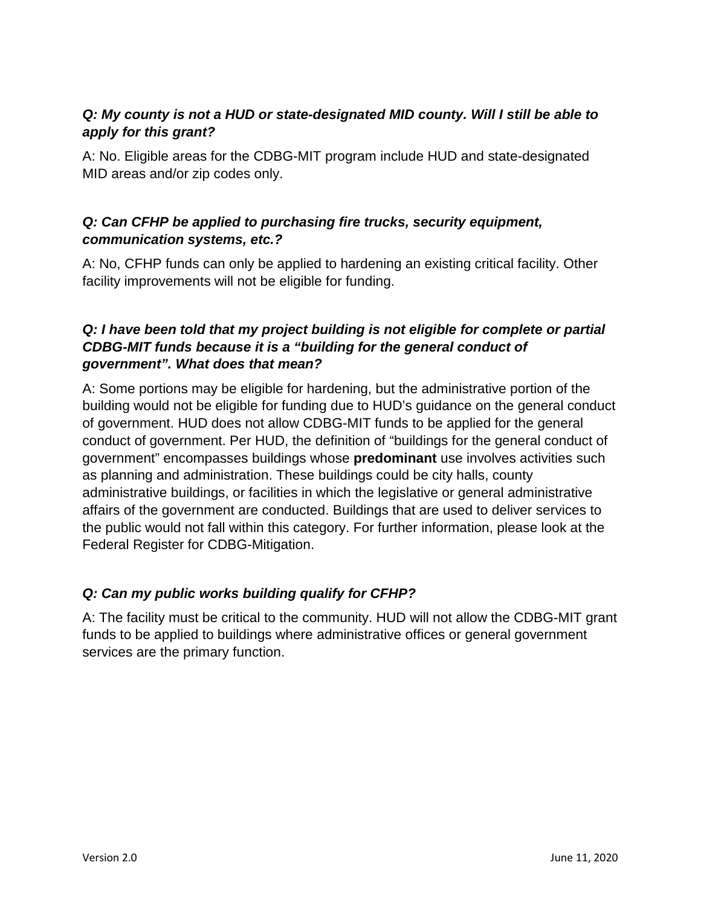# *Q: My county is not a HUD or state-designated MID county. Will I still be able to apply for this grant?*

A: No. Eligible areas for the CDBG-MIT program include HUD and state-designated MID areas and/or zip codes only.

# *Q: Can CFHP be applied to purchasing fire trucks, security equipment, communication systems, etc.?*

A: No, CFHP funds can only be applied to hardening an existing critical facility. Other facility improvements will not be eligible for funding.

# *Q: I have been told that my project building is not eligible for complete or partial CDBG-MIT funds because it is a "building for the general conduct of government". What does that mean?*

A: Some portions may be eligible for hardening, but the administrative portion of the building would not be eligible for funding due to HUD's guidance on the general conduct of government. HUD does not allow CDBG-MIT funds to be applied for the general conduct of government. Per HUD, the definition of "buildings for the general conduct of government" encompasses buildings whose **predominant** use involves activities such as planning and administration. These buildings could be city halls, county administrative buildings, or facilities in which the legislative or general administrative affairs of the government are conducted. Buildings that are used to deliver services to the public would not fall within this category. For further information, please look at the Federal Register for CDBG-Mitigation.

# *Q: Can my public works building qualify for CFHP?*

A: The facility must be critical to the community. HUD will not allow the CDBG-MIT grant funds to be applied to buildings where administrative offices or general government services are the primary function.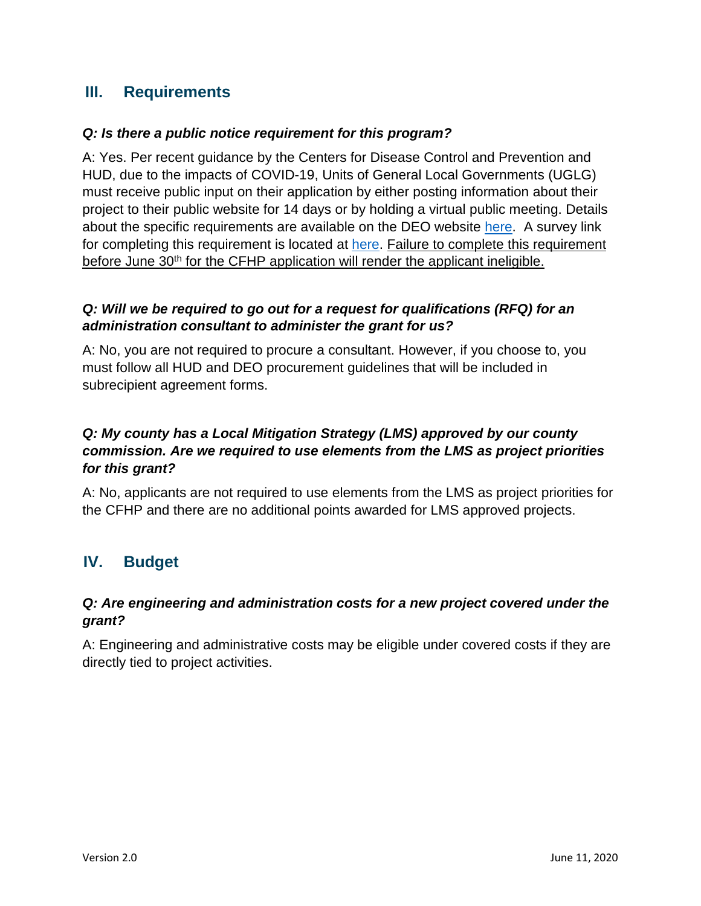# <span id="page-6-0"></span>**III. Requirements**

#### *Q: Is there a public notice requirement for this program?*

A: Yes. Per recent guidance by the Centers for Disease Control and Prevention and HUD, due to the impacts of COVID-19, Units of General Local Governments (UGLG) must receive public input on their application by either posting information about their project to their public website for 14 days or by holding a virtual public meeting. Details about the specific requirements are available on the DEO website [here.](http://floridajobs.org/rebuildflorida/mitigation/critical-facility-hardening-program) A survey link for completing this requirement is located at [here.](https://fldeo.iad1.qualtrics.com/jfe/form/SV_bOSN5lKmIXPLeXb) Failure to complete this requirement before June 30<sup>th</sup> for the CFHP application will render the applicant ineligible.

# *Q: Will we be required to go out for a request for qualifications (RFQ) for an administration consultant to administer the grant for us?*

A: No, you are not required to procure a consultant. However, if you choose to, you must follow all HUD and DEO procurement guidelines that will be included in subrecipient agreement forms.

# *Q: My county has a Local Mitigation Strategy (LMS) approved by our county commission. Are we required to use elements from the LMS as project priorities for this grant?*

A: No, applicants are not required to use elements from the LMS as project priorities for the CFHP and there are no additional points awarded for LMS approved projects.

# <span id="page-6-1"></span>**IV. Budget**

#### *Q: Are engineering and administration costs for a new project covered under the grant?*

A: Engineering and administrative costs may be eligible under covered costs if they are directly tied to project activities.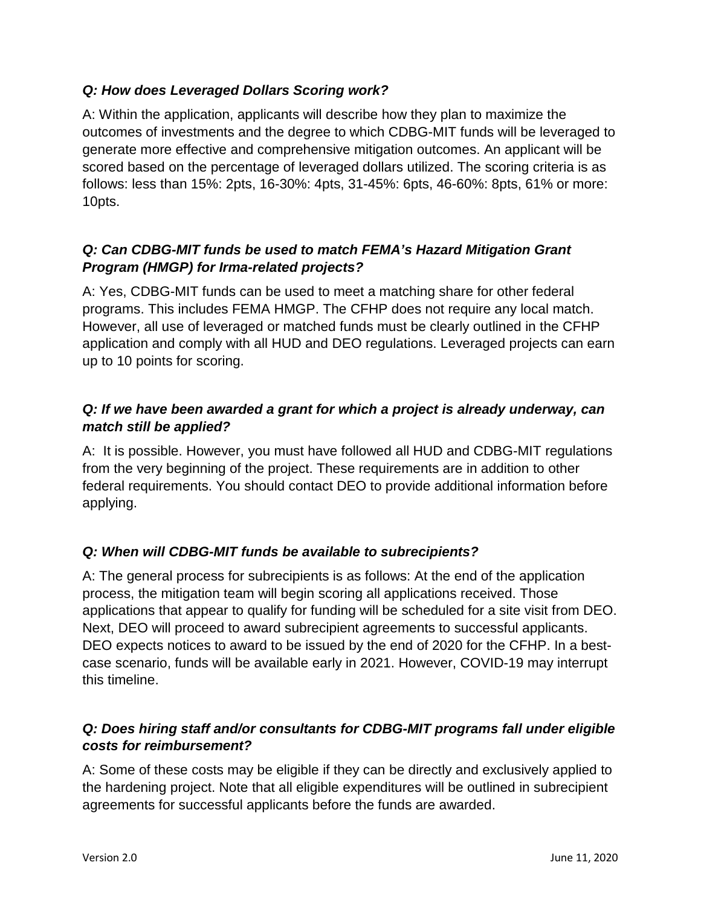# *Q: How does Leveraged Dollars Scoring work?*

A: Within the application, applicants will describe how they plan to maximize the outcomes of investments and the degree to which CDBG-MIT funds will be leveraged to generate more effective and comprehensive mitigation outcomes. An applicant will be scored based on the percentage of leveraged dollars utilized. The scoring criteria is as follows: less than 15%: 2pts, 16-30%: 4pts, 31-45%: 6pts, 46-60%: 8pts, 61% or more: 10pts.

# *Q: Can CDBG-MIT funds be used to match FEMA's Hazard Mitigation Grant Program (HMGP) for Irma-related projects?*

A: Yes, CDBG-MIT funds can be used to meet a matching share for other federal programs. This includes FEMA HMGP. The CFHP does not require any local match. However, all use of leveraged or matched funds must be clearly outlined in the CFHP application and comply with all HUD and DEO regulations. Leveraged projects can earn up to 10 points for scoring.

# *Q: If we have been awarded a grant for which a project is already underway, can match still be applied?*

A: It is possible. However, you must have followed all HUD and CDBG-MIT regulations from the very beginning of the project. These requirements are in addition to other federal requirements. You should contact DEO to provide additional information before applying.

# *Q: When will CDBG-MIT funds be available to subrecipients?*

A: The general process for subrecipients is as follows: At the end of the application process, the mitigation team will begin scoring all applications received. Those applications that appear to qualify for funding will be scheduled for a site visit from DEO. Next, DEO will proceed to award subrecipient agreements to successful applicants. DEO expects notices to award to be issued by the end of 2020 for the CFHP. In a bestcase scenario, funds will be available early in 2021. However, COVID-19 may interrupt this timeline.

# *Q: Does hiring staff and/or consultants for CDBG-MIT programs fall under eligible costs for reimbursement?*

A: Some of these costs may be eligible if they can be directly and exclusively applied to the hardening project. Note that all eligible expenditures will be outlined in subrecipient agreements for successful applicants before the funds are awarded.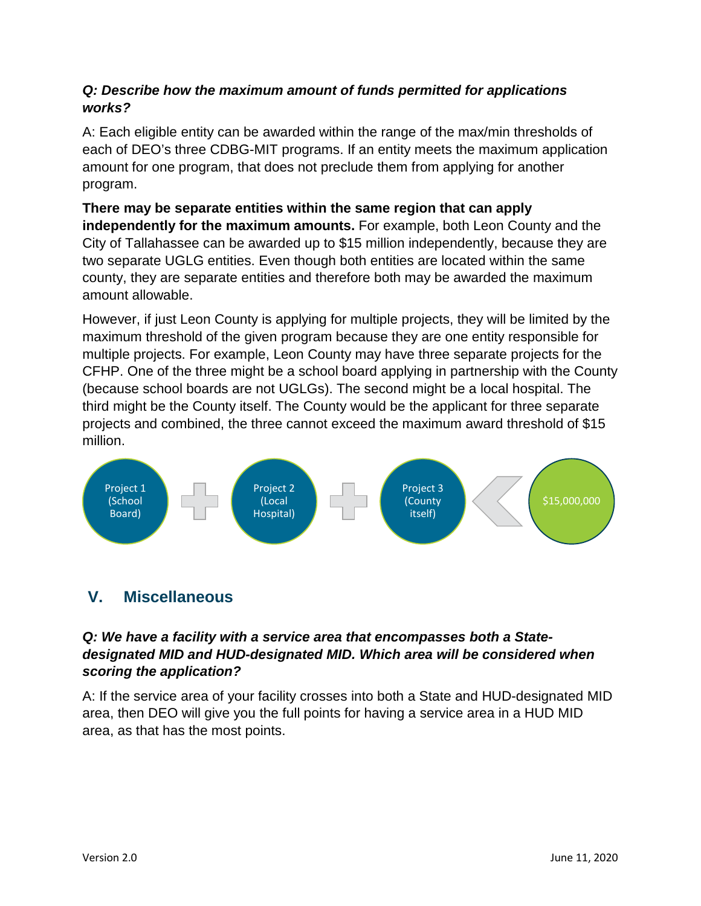# *Q: Describe how the maximum amount of funds permitted for applications works?*

A: Each eligible entity can be awarded within the range of the max/min thresholds of each of DEO's three CDBG-MIT programs. If an entity meets the maximum application amount for one program, that does not preclude them from applying for another program.

**There may be separate entities within the same region that can apply independently for the maximum amounts.** For example, both Leon County and the City of Tallahassee can be awarded up to \$15 million independently, because they are two separate UGLG entities. Even though both entities are located within the same county, they are separate entities and therefore both may be awarded the maximum amount allowable.

However, if just Leon County is applying for multiple projects, they will be limited by the maximum threshold of the given program because they are one entity responsible for multiple projects. For example, Leon County may have three separate projects for the CFHP. One of the three might be a school board applying in partnership with the County (because school boards are not UGLGs). The second might be a local hospital. The third might be the County itself. The County would be the applicant for three separate projects and combined, the three cannot exceed the maximum award threshold of \$15 million.



# <span id="page-8-0"></span>**V. Miscellaneous**

# *Q: We have a facility with a service area that encompasses both a Statedesignated MID and HUD-designated MID. Which area will be considered when scoring the application?*

A: If the service area of your facility crosses into both a State and HUD-designated MID area, then DEO will give you the full points for having a service area in a HUD MID area, as that has the most points.